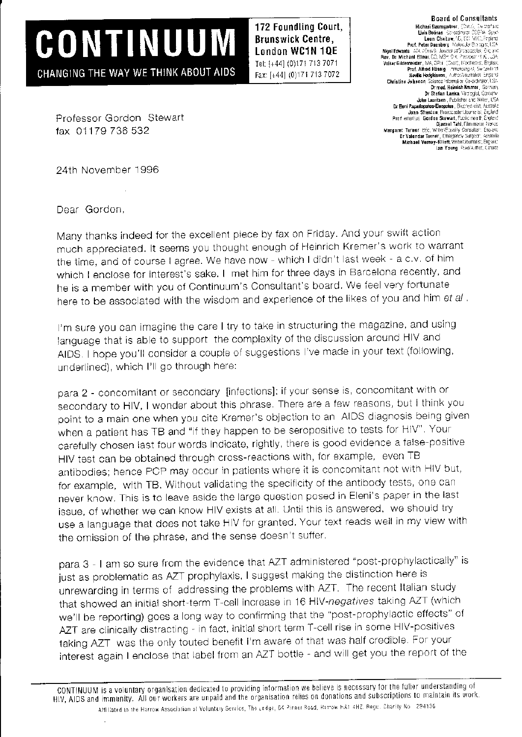172 Foundling Court, Brunswick Centre, London WC1N 1QE Tel: [+44] (0)171 713 7071 Fax: [+44] (0)171 713 7072

## Board of Consultants<br>Michael Baumgather, Cheli, Ew verlard<br>Link Bobinas Construct COFM Space<br>Leon Chaitrew, 4D, 802 MHD, Fright<br>Prof. Peter Duesberg, Moloculet Britages, USA r, v. r. i trischen st. England<br>Oxon), livechem st. England Neville Hodgkinson, Author/Journalist, Engla Drimad, Heinrich Kramer, German Dr Stefan Lanka Virciogist, Gemany John Lauritsen , Publisher and Writer, USA<br>Dr Beni Papadopulos-Eleoptilos, Biochrys dist, Australia Joan Shenton Bioaspaster/Journalist, England boah Ghemann (michadae 1565 te tot engles)<br>Prof. emeritus: Gordon Stawart, Public maath, England Margaret Terner BEC, Write: Engency Surgeon: Engency Br Valendar Turner, [margarev Surgeon: Australia<br>Michael Verney-Elliett, Write: Journalist, Engency<br>Michael Verney-Elliett, Write: Journalist, Engency lan Young Poet/Aithor, Canada

Professor Gordon Stewart fax 01179 736 532

CONTINUUM

CHANGING THE WAY WE THINK ABOUT AIDS

24th Novernber 1996

Dear Gordon.

Many thanks indeed for the excellent piece by fax on Friday. And your swift action much appreciated. It seems you thought enough of Heinrich Kremer's work to warrant the time, and of course I agree. We have now - which I didn't last week - a c.v. of him which I enclose for interest's sake. I met him for three days in Barcelona recently, and he is a member with you of Continuum's Consultant's board. We feel very fortunate here to be associated with the wisdom and experience of the likes of you and him et al.

I'm sure you can imagine the care I try to take in structuring the magazine, and using language that is able to support the complexity of the discussion around HIV and AIDS. I hope you'll consider a couple of suggestions I've made in your text (following, underlined), which I'll go through here:

para 2 - concomitant or secondary [infections]: if your sense is, concomitant with or secondary to HIV, I wonder about this phrase. There are a few reasons, but I think you point to a main one when you cite Kremer's objection to an AIDS diagnosis being given when a patient has TB and "if they happen to be seropositive to tests for HIV". Your carefully chosen last four words indicate, rightly, there is good evidence a false-positive HIV test can be obtained through cross-reactions with, for example, even TB antibodies; hence PCP may occur in patients where it is concomitant not with HIV but, for example, with TB. Without validating the specificity of the antibody tests, one can never know. This is to leave aside the large question posed in Eleni's paper in the last issue, of whether we can know HIV exists at all. Until this is answered, we should try use a language that does not take HIV for granted. Your text reads well in my view with the omission of the phrase, and the sense doesn't suffer.

para 3 - I am so sure from the evidence that AZT administered "post-prophylactically" is just as problematic as AZT prophylaxis, I suggest making the distinction here is unrewarding in terms of addressing the problems with AZT. The recent Italian study that showed an initial short-term T-cell increase in 16 HIV-negatives taking AZT (which we'll be reporting) goes a long way to confirming that the "post-prophylactic effects" of AZT are clinically distracting - in fact, initial short term T-cell rise in some HIV-positives taking AZT was the only touted benefit I'm aware of that was half credible. For your interest again I enclose that label from an AZT bottle - and will get you the report of the